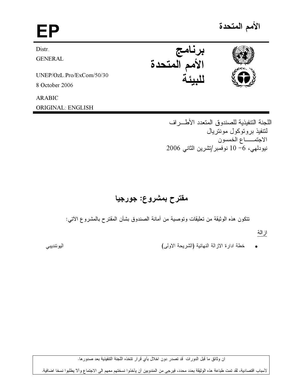# EP برنامج<br>الأمم المتحدة Distr. **GENERAL** UNEP/OzL.Pro/ExCom/50/30 8 October 2006 **ARABIC**

اللجنة التنفيذية للصندوق المتعدد الأطـــر اف لنتفيذ بر وتوكول مونتر يال الاجتمـــاع الخمسون نيودلمي، 6- 10 نوفمبر/تشرين الثاني 2006

## مقترح بمشروع: جورجيا

نتكون هذه الوثيقة من تعليقات ونوصية من أمانة الصندوق بشأن المقترح بالمشروع الآتي:

از الة

خطة ادارة الازالة النهائية (الشريحة الاولى)

اليوئنديبي

ان وثائق ما قبل الدورات قد تصدر دون اخلال بأي قرار تتخذه اللجنة التتفيذية بعد صدورها.

لأسباب اقتصادية، لقد تمت طباعة هذه الوثيقة بعدد محدد، فيرجى من المندوبين أن يأخذوا نسختهم معهم الى الاجتماع وألا يطلبوا نسخا اضافية.



**ORIGINAL: ENGLISH** 

الأمم المتحدة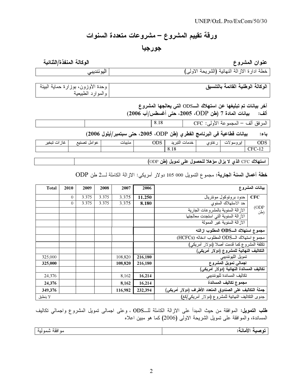## ورقة تقييم المشروع – مشروعات متعددة السنوات

### جورجيا

#### و ع مستقبل المستقبل المستقبل المستقبل المستقبل المستقبل المستقبل المستقبل المستقبل المستقبل المستقبل المستقبل ا<br>المستقبل المستقبل المستقبل المستقبل المستقبل المستقبل المستقبل المستقبل المستقبل المستقبل المستقبل المستقبل ا عنوان المشر

الوكالة المنفذة/الثنائية

| $^{\prime}$ . $\prime$ , $^{\prime}$ , $^{\prime}$ , $^{\prime}$ , $^{\prime}$ , $^{\prime}$ , $^{\prime}$ , $^{\prime}$ , $^{\prime}$ , $^{\prime}$ , $^{\prime}$ , $^{\prime}$<br>خطة ادارة الاز الة النهائية (الشري<br>، دے وسے ہ |
|--------------------------------------------------------------------------------------------------------------------------------------------------------------------------------------------------------------------------------------|
|                                                                                                                                                                                                                                      |

| وحدة الأوزون، بوزارة حماية البيئة | الوكالة الوطنية القائمة بالتنسيق |  |  |
|-----------------------------------|----------------------------------|--|--|
| والموارد الطبيعية                 |                                  |  |  |
|                                   |                                  |  |  |

آخر بيانات تم تبليغها عن استهلاك الــODS التي يعالجها المشروع

(2006 (/&"
' \$% #2005 #ODP ") 7 ! :

8.18 CFC :-- \$- – %- /#-

باء: بيانات فطاعية في البرنامج الفطري (طن ODP، 2005) حتى سبتمبر/أيلول 2006)

| غان<br>تنخد<br>$\mathbf{r}$<br>٠ı<br>⊸ | عو امل<br>$\mathbf{B}$ | . .<br>مديبات | ODS | التد<br>$\overline{\phantom{a}}$<br>خدمات<br>∸<br> | عاو ی | ايروسو | ODS                 |
|----------------------------------------|------------------------|---------------|-----|----------------------------------------------------|-------|--------|---------------------|
|                                        |                        |               |     | 0.10                                               |       |        | $\sim$ $\sim$<br>ਾ∺ |
|                                        |                        |               |     |                                                    |       |        |                     |

استهلاك CFC الذي لا يزال مؤهلا للحصول على تمويل (طن ODP)

خطة أعمال ال<mark>سنة الجارية:</mark> مجموع التمويل 000 005 دولار أمريكي: الازالة الكاملة لـــ2 طن ODP

| <b>Total</b> | 2010     | 2009  | 2008  | 2007    | 2006    |                                                          | بيانات المشروع |  |
|--------------|----------|-------|-------|---------|---------|----------------------------------------------------------|----------------|--|
|              | $\theta$ | 3.375 | 3.375 | 3.375   | 11.250  | حدود بر وتوكول مونتريال                                  | <b>CFC</b>     |  |
|              | $\theta$ | 3.375 | 3.375 | 3.375   | 8.180   | حد الاستهلاك السنوى                                      |                |  |
|              |          |       |       |         |         | الاز الة السنوية بالمشر وعات الجارية                     | (ODP)<br>(طن   |  |
|              |          |       |       |         |         | الاز الة السنوية التي استجدت معالجتها                    |                |  |
|              |          |       |       |         |         | الآز الة السنوية غير الممولة                             |                |  |
|              |          |       |       |         |         | مجموع استهلاك الــODS المطلوب ازالته                     |                |  |
|              |          |       |       |         |         | مجموع استهلاك الــODS المطلوب ادخاله (HCFCs)             |                |  |
|              |          |       |       |         |         | تكلفة المشروع كما قدمت أصلا (دولار أمريكي)               |                |  |
|              |          |       |       |         |         | التكاليف النهائية للمشروع (دولار أمريكي)                 |                |  |
| 325,000      |          |       |       | 108,820 | 216,180 | تمويل الليوئنديبي                                        |                |  |
| 325,000      |          |       |       | 108,820 | 216,180 | اجمالى تمويل المشروع                                     |                |  |
|              |          |       |       |         |         | تكاليف المساندة النهائية (دولار أمريكي)                  |                |  |
| 24,376       |          |       |       | 8,162   | 16,214  | تكاليف المساندة لليوئنديبي                               |                |  |
| 24,376       |          |       |       | 8,162   | 16,214  | مجموع تكاليف المساندة                                    |                |  |
| 349,376      |          |       |       | 116,982 | 232,394 | جملة التكاليف على الصندوق المتعدد الأطراف (دولار أمريكي) |                |  |
| لا ينطبق     |          |       |       |         |         | جدوى التكاليف النهائية للمشروع (دولار أمريكي/كغ)         |                |  |

طلب التمويل: الموافقة من حيث المبدأ على الازالة الكاملة للــODS ، وعلى اجمالـى تمويل المشروع واجمالـي تكاليف<br>. المساندة، والموافقة على تمويل الشريحة الاولى (2006) كما هو مبين اعلاه

| ولمحمد جما<br>. .<br>- مو افقه شمو لنه | الأهابة:<br>د |
|----------------------------------------|---------------|
|                                        |               |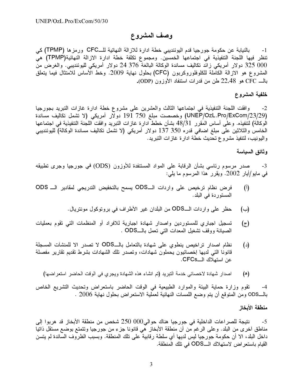### وصف المشروع

بالنيابة عن حكومة جورجيا قدم اليوئنديبي خطة ادارة للازالة النهائية للـــCFC ورمزها (TPMP) كي  $-1$ تنظر فيها اللجنة التنفيذية في اجتماعها الخمسين. ومجموع تكلفة خطة ادارة الازالة النهائية(TPMP) هي 000 325 دولار أمريكي زائد تكاليف مساندة الوكالة البالغة 376 24 دولار أمريكي لليوئنديبي. والغرض من المشروع هو الازالة الكاملة للكلوفلوروكربون (CFC) بحلول نهاية 2009. وخط الأساس للامتثال فيما يتعلق بالـــ CFC هو 22,48 طن من قدرات استنفاد الأوزون (ODP).

### خلفية المشروع

وافقت اللجنة التنفيذية في اجتماعها الثالث والعشرين على مشروع خطة ادارة غازات التبريد بجورجيا  $-2$ (UNEP/OzL.Pro/ExCom/23/29) وخصصت مبلغ 750 191 دولار أمريكي (لا تشمل تكاليف مساندة الُوكالُة) لتُنفيذه. وعلى أساس المُقرر 48/31 بشأن خطط ادارة غازات التبريد وافقت اللجنة التنفيذية في اجتماعها الخامس والثلاثين على مبلغ اضافي قدره 350 137 دولار أمريكي (لا تشمل تكاليف مساندة الوكالة) لليوئنديبي واليونيب، لتنفيذ مشروع تحديث خطة ادارة غازات التبريد.

#### وثائق السباسة

صدر مرسوم رئاسي بشأن الرقابة على المواد المستنفدة للأوزون (ODS) في جورجيا وجرى نطبيقه  $-3$ في مايو/أيار 2002. ويقرر هذا المرسوم ما يلي:

- فرض نظام ترخيص على واردات الــODS يسمح بالتخفيض التدريجي لمقادير الــ ODS  $(\mathfrak{h})$ المستوردة في البلد.
	- حظر على واردات الـــODS من البلدان غير الأطراف في بروتوكول مونتريال. (ب)
- تسجيل اجبار ي للمستور دين واصدار شهادة اجبارية للافراد أو المنظمات التي تقوم بعمليات  $(\tau)$ الصيانة ووقف تشغيل المعدات التـي تـعمل بـالــــODS .
- نظام اصدار تراخيص ينطوى على شهادة بالتعامل بالــODS لا تصدر الا للمنشأت المسجلة  $(\iota)$ قانونا التي لديها إخصائيون يحملون شهادات، وتصدر تلك الشهادات بشرط تقديم تقارير مفصلة عن استهلاك الــCFCs.
	- اصدار شهادة لاخصائي خدمة التبريد (تم انشاء هذه الشهادة ويجري في الوقت الحاضر استعراضها) (۵)

نقوم وزارة حماية البيئة والموارد الطبيعية في الوقت الحاضر باستعراض وتحديث التشريع الخاص  $-4$ بالـــODS ومن المتوقع أن يتم وضع اللمسات النهائية لعملية الاستعراض بحلول نـهاية 2006 .

#### منطقة الأبخاز

نتيجة للصراعات الداخلية في جورجيا هناك حوالي000  $250~000$  شخص من منطقة الأبخاز قد هربوا إلى -5 مناطق آخري من البلد. وعلى الرغم من أن منطقة الأبخاز هي قانونا جز ء من جورجيا ونتمتع بوضع مستقل ذاتيا داخل البلد، الا أن حكومة جورجيا ليس لديها أي سلطة رقابية على تلك المنطقة. وبسبب الظروف السائدة لم يتسن القيام باستعر اض لاستهلاك الـــODS في تلك المنطقة.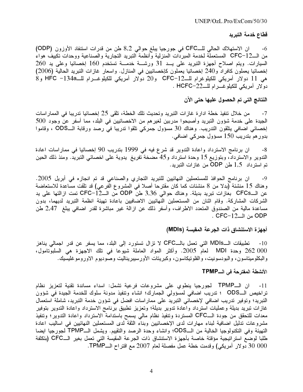#### قطاع خدمة التبريد

ان الاستهلاك الحالي للــCFC في جورجيا يبلغ حوالي 8,2 طن من قدرات استنفاد الأوزون (ODP)  $-6$ من الــCFC-12 المستعملة لخدمة المبردَّات المنزلية وأنظمة التبريد التجارية والصناعية ووحدات تكييف هواء السيارات. ويتم اصلاح أجهزة التبريد على يــد 31 ورشـــة خدمـــة تستخدم 160 إخصائيا وعلى يد 260 إخصائيا يعملون كافراد و240 إخصائيا يعملون كإخصائيين في المنازل. واسعار غازات النتبريد الحالية (2006) هي 11 دولار أمريكي للكيلوغرام للـCFC−12 و20 دولار أمريكي للكيلوغــرام للــ134a− HFC و8 دولار أمريكي للكيلوغــرام للــ22-HCFC .

#### النتائج التي تم الحصول عليها حتى الآن

من خلال تنفيذ خطة ادارة غازات التبريد وتحديث تلك الخطة، تلقى 25 إخصائيا تدريبا في المماراسات  $-7$ الْجِيدة على خدمة شؤون التبريد وأصبحوا مدربين لغيرهم من الاخصائيين في البلد، مما أسفر عن وجود 500 إخصائي اضافي يتلقون التدريب. وهناك 30 مسؤول جمركي تلقوا تدريبا في رصد ورقابة الــODS ، وقاموا بدور هم بندريب 150 مسؤول جمرکي اضافي.

ان برنامج الاسترداد واعادة التدوير قد شرع فيه في 1999 بتدريب 90 إخصائيا في مماراسات اعادة  $-8$ التدوير والاسترداد، وبتوزيع 15 وحدة استرداد و45 مضخة تفريغ يدوية على اخصائي التبريد. ومنذ ذلك الحين تم استر داد ۔1,5 طن ODP من غاز ات التبر ید.

ان برنامج الحوافذ للمستعملين النهائيين للتبريد التجاري والصناعي قد تم انجازه في أبريل 2005. -9 وهناك 15 منشئة (بدلا من 8 منشئات كما كان مقترحا أصلا في المشروع الفرعي) قد نلقت مساعدة للاستعاضة عن الــCFCs بغازات نبريد بديلة. وهناك حوالي 3,36 طن ODP من الــCFC−12 نمت ازالتها على يد الشركات المشاركة. وقام اثنان من المستعملين النهائيين الاضافيين باعادة تهيئة انظمة التبريد لديهما، بدون مساعدة مالية من الصندوق المتعدد الاطراف، وأسفر ذلك عن ازالة غير مباشرة لقدر اضافي يبلغ 2,47 طن ODP من الـــCFC−12 .

#### أجهزة الاستنشاق ذات الجرعة المقيسة (MDIs)

تطبيقات الـــMDIs التي تعمل بالـــCFC لا نزال تستورد إلى البلد، مما يسفر عن قدر اجمالي يناهز  $-10$ 262 000 وحدة MDI لعام 2005. وأكثر المواد العاملة شيوعا في تلك الاجهزة هي السلبوتامول، والبكلوميتاسون، والبودسونيت، والفلونيكاسون، وكبريتات الأورسيبريناليت وصوديوم الاوروموغليسيك.

#### الأنشطة المفترحة في الـــTPMP

ان الــTPMP لجورجيا ينطوى على مشروعات فرعية تشمل: اسداء مساندة تقنية لتعزيز نظام  $-11$ تراخيص الــODS ؛ تدريب اضافي لمسؤولي الجمارك؛ انشاء وتنفيذ مدونة سلوك للخدمة الجيدة في شؤون التبريد؛ وتوفير تدريب اضافي لإخصائي التبريد على مماراسات افضل في شؤون خدمة التبريد، شاملة استعمال غازات نبريد بديلة وعمليات استرداد واعادة تدوير بديلة؛ وتعزيز تطبيق برنامج الاسترداد واعادة التدوير بتوفير معدات للتحقق من جودة الــCFC المستردة وتنفيذ نظام مالي يسمح باستدامة الاسترداد واعادة التدوير؛ وتنفيذ مشروعات تدليل اضافية لبناء مهارات لدى الإخصائيين وبناء الثقة لدى المستعملين النهائيين في اساليب اعادة التهيئة وفي التكنولوجيا الخالية من الــODS؛ وانشاء وحدة الرصد والتقييم. ويشمل الــTPMP لمجورجيا ايضا طلبا لوضع استر اتيجية مؤقتة خاصة بأجهزة الاستتشاق ذات الجرعة المقيسة التي تعمل بغير الـــCFC (بتكلفة 000 00 دولار أمريكي) وقدمت خطة عمل مفصلة لعام 2007 مع اقتراح الــTPMP.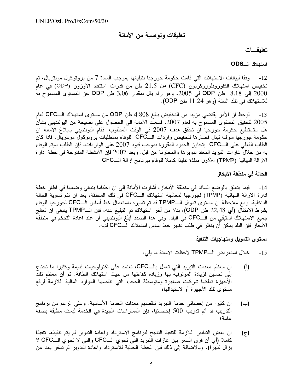### تعليقات وتوصية من الأمانة

#### تعليقسات

#### استهلاك الــODS

وفقًا لبيانات الاستهلاك التي قامت حكومة جورجيا بتبليغها بموجب المادة 7 من بروتوكول مونتريال، تم  $-12$ تخفيض استهلاك الكلوروفلوروكربون (CFC) من 21,5 طن من قدرات استنفاد الأوزون (ODP) في عام 2000 إلى 8,18 طن ODP في 2005، وهو رقم يقل بمقدار 3,06 طن ODP عن المستوى المسموَّح به للاستهلاك في تلك السنة (و هو 11,24 طن ODP).

لموحظ ان الأمر يقتضي مزيدا من التخفيض يبلغ 4,808 طن ODP من مستوى استهلاك الــCFC لعام  $-13$ 2005 لتحقيق المستوى المسموح به لعام 2007، فسعت الأمانة الى الحصول على نصيحة من اليوئنديبي بشأن هل ستستطيع حكومة جورجيا ان تحقق هدف 2007 في الوقت المطلوب. فقام اليوئنديبي بابلاغ الأمانة ان حكومة جورجيا سوف تبذل قصارها لتخفيض واردات الـــCFC للوفاء بمنطلبات بروتوكول مونتريال. فاذا كان الطلب الفعلي على الـــCFC يتجاوز الحدود المقررة بموجب قيود 2007 على الواردات، فإن الطلب سيتم الوفاء به من خلال غازات التبريد المعاد تدوير ها والمختزنة من قبل. وبعد 2007 فإن الأنشطة المقترحة في خطة ادارة الاز الة النهائية (TPMP) ستكون منفذة تنفيذا كاملا للوفاء ببرنامج از الة الـــCFC

#### الحالة في منطقة الأبخاز

14- فيما يتعلق بالوضع السائد في منطقة الأبخاز ، أشارت الأمانة إلى ان أحكاما ينبغي وضعها في اطار خطة ادارة الازالة النهائية (TPMP) لجورجيا لمعالجة استهلاك الــCFC في تلك المنطقة، بعد ان نتم تسوية الحالة الداخلية. ومع ملاحظة ان مستوى تمويل الــTPMP قد تم تقديره باستعمال خط أساس الـــCFC لمجورجيا للوفاء بشرط الامتثال (أي 22,48 طن ODP)، بدلا من آخر استهلاك تم التبليغ عنه، فإن الـــTPMP ينبغي ان تعالج جميع الاستهلاك المتبقى من الــCFC في البلد. وفي هذا الصدد أبلغ اليوئنديبي أن عند اعادة التحكم في منطقة الأبخاز فإن البلد يمكن أن ينظر في طلب تغيير خط أساس استهلاك الــCFC لديه.

#### مستوى التمويل ومنهاجيات التنفيذ

- خلال استعر اض الـــTPMP لاحظت الأمانة ما يلي:  $-15$
- ان معظم معدات التبريد التي تعمل بالــCFC، تعتمد على تكنولوجيات قديمة وكثيرا ما تحتاج  $(1)$ إلى تحسين لزيادة الموثوقية بها وزيادة كفاءتها من حيث استهلاك الطاقة. ثم أن معظم تلك الأجهزة تملكها شركات صغيرة ومتوسطة الحجم، التي تنقصها الموارد المالية اللازمة لرفع مستوى تلك الأجهز ة أو لاستبدالها؛
- ان كثيرًا من إخصائي خدمة التبريد تنقصهم معدات الخدمة الأساسية. وعلى الرغم من برنامج (ب) التدريب قد أتم تدريب 500 إخصائيا، فإن المماراسات الجيدة في الخدمة ليست مطبقة بصفة عامة؛

ان بعض التدابير اللازمة للتنفيذ الناجح لبرنامج الاسترداد واعادة التدوير لم يتم تنفيذها تنفيذا  $(\bar{z})$ كاملا (أي أن فرق السعر بين غازات التبريد التي تحوي الـــCFC والتي لا تحوي الـــCFC لا يزال كبيرا). وبالاضافة إلى ذلك فإن الخطة الحالية للاسترداد واعادة التدوير لم تسفر بعد عن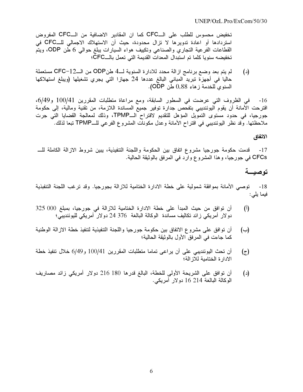تخفيض محسوس للطلب على الــCFC كما ان المقادير الاضافية من الــCFC المفروض استردادها أو اعادة تدويرها لا تزال محدودة، حيث أن الاستهلاك الاجمالي للــCFC في القطاعات الفرعية التجاري والصناعي وتكييف هواء السيارات يبلغ حوالى 6 طن ODP، ويتم تخفيضه سنويا كلما تم استبدال المعدات القديمة التي تعمل بالــCFC؛

لم يتم بعد وضع برنامج ازالة محدد للادارة السنوية لــ4 طنODP من الــ12–CFC مستعملة  $(\iota)$ حاليا في أجهزة تبريد المباني البالغ عددها 24 جهازا التي يجري تشغيلها (ويبلغ استهلاكها السنوى للخدمة زهاء 0,88 طن ODP).

في الظروف التي عرضت في السطور السابقة، ومع مراعاة متطلبات المقررين 100/41 و6/49،  $-16$ اقترحت الأمانة أن يقوم اليوئنديبي بتفحص جدارة توفير جميع المساندة اللازمة، من تقنية ومالية، إلى حكومة جورجيا، في حدود مستوى التمويل المؤهل للتقديم لاقتراح الـTPMP، وذلك لمعالجة القضايا التي جرت ملاحظتها. وقد نظر اليوئنديبي في اقتراح الأمانة وعدل مكونات المشروع الفرعي للــTPMP تبعا لذلك.

الاتفاق

قدمت حكومة جورجيا مشروع اتفاق بين الحكومة واللجنة التنفيذية، يبين شروط الازالة الكاملة للــــ  $-17$ CFCs في جورجيا، وهذا المشروع وارد في المرفق بالوثيقة الحالية.

### توصيــة

18- توصبي الأمانة بموافقة شمولية على خطة الادارة الختامية للازالة بجورجيا. وقد ترغب اللجنة التنفبذية فيما يلي:

- أن توافق من حيث المبدأ على خطة الادارة الختامية للازالة في جورجيا، بمبلغ 000 325  $\binom{1}{1}$ دولار أمريكي زائد تكاليف مساندة الوكالة البالغة 376 24 دولار أمريكي لليوئنديبي؛
- أن نوافق على مشروع الاتفاق بين حكومة جورجيا واللجنة التنفيذية لتنفيذ خطة الازالة الوطنية (ب) كما جاءت في المرفق الأول بالوثيقة الحالية؛
- أن تحث اليوئنديبي على أن يراعي تماما متطلبات المقررين 100/41 و6/49 خلال نتفيذ خطة (ج) الادار ة الختامية للاز الة؛
- أن توافق على الشريحة الأولى للخطة، البالغ قدرها 180 216 دولار أمريكي زائد مصاريف  $(\iota)$ الوكالة البالغة 214 16 دولار أمريكي.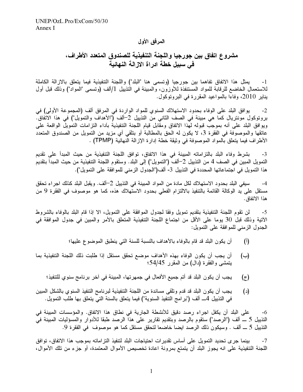### المرفق الأول

### مشروع اتفاق بين جورجيا واللجنة التنفيذية للصندوق المتعدد الأطراف، في سبيل خطة ادراة الازالة النهائية

يمثل هذا الاتفاق تفاهما بين جورجيا (وتسمى هنا "البلد") واللجنة التنفيذية فيما يتعلق بالاز الة الكاملة  $-1$ للاستعمال الخاضع للرقابة للمواد المستنفذة للأوزون، والمبينة في التذييل 1/ألف (وتسمى "المواد") وذلك قبل أول يناير 2010، وفاءا بالمواعيد المقررة في البرونوكول.

يوافق البلد على الوفاء بحدود الاستهلاك السنوي للمواد الواردة في المرفق ألف (المجموعة الأولى) في  $-2$ بروتوكول مونتريال كما هي مبينة في الصف الثاني من التذييل 2–ألف ("الأهداف والتمويل") في هذا الاتفاق. ويوافق البلد على أنه بموجب قبوله لهذا الاتفاق ومقابل قيام اللجنة التنفيذية بآداء التزامات التمويل الواقعة على عاتقها والموصوفة في الفقرة 3، لا يكون له الحق بالمطالبة أو بتلقى أي مزيد من التمويل من الصندوق المتعدد الأطراف فيما يتعلَّق بالمواد الموصوفة في وثيقة خطة إدارة الإزالة النهائية (TPMP) .

بشرط وفاء البلد بالتزاماته المبينة في هذا الاتفاق، توافق اللجنة التنفيذية من حيث المبدأ على تقديم  $-3$ التمويل المبين في الصف 4 من التذييل 2–ألف ("التمويل") إلى البلد. وستقوم اللجنة التنفيذية من حيث المبدأ بتقديم هذا التمويل في اجتماعاتها المحددة في التذييل 3- ألف("الجدول الزمني للموافقة على التمويل").

سيفي البلد بحدود الاستهلاك لكل مادة من المواد المبينة في التذييل 2–ألف. ويقبل البلد كذلك اجراء تحقق  $-4$ مستقل على يد الوكالة القائمة بالتنفيذ بالالتزام الفعلى بحدود الاستهلاك هذه، كما هو موصوف في الفقرة 9 من هذا الاتفاق.

لن تقوم اللجنة التنفيذية بتقديم تمويل وفقا لجدول الموافقة على التمويل، الا إذا قام البلد بالوفاء بالشروط  $-5$ الآتية وذلك قبل 30 يوما على الأقل من اجتماع اللجنة التنفيذية المتعلق بالأمر والمبين في جدول الموافقة في الْجدول الزمني للموافقة على التمويل:

- أن يكون البلد قد قام بالوفاء بالأهداف بالنسبة للسنة التي ينطبق الموضوع عليها؛  $\binom{1}{1}$
- أن يجب أن يكون الوفاء بهذه الأهداف موضع تحقق مستقل إذا طلبت ذلك اللجنة التنفيذية بما (ب) يتمشى والفقرة (دال) من المقرر 54/45؛
	- يجب أن يكون البلد قد أتم جميع الأفعال في جمهرتها، المبينة في آخر برنامج سنوي للتنفيذ؛  $(\bar{z})$
- يجب أن يكون البلد قد قدم وتلقى مساندة من اللجنة التنفيذية لبرنامج التنفيذ السنوى بالشكل المبين  $(\iota)$ في التذييل 4ـــ ألف ("بر امج التنفيذ السنوية") فيما يتعلَّق بالسنة التي يتعلَّق بها طلب التمويل.

على البلد أن يكفل اجراء رصد دقيق للأنشطة الجارية في نطاق هذا الاتفاق. والمؤسسات المبينة في -6 التذييل 5 ـــ ألف ("الرصد") ستقوم بالرصد وبتقديم تقارير على هذا الرصد طبقا للأدوار والمسؤليات المبينة في التذييل 5 ــ ألف . وسيكون ذلك الرصد ايضا خاضعا لتحقق مستقل كما هو موصوف ً في الفقرة 9.

بينما جرى تحديد التمويل على أساس تقديرات احتياجات البلد لتنفيذ التزاماته بموجب هذا الاتفاق، توافق  $-7$ اللجنة التنفيذية على انه يجوز البلد أن يتمتع بمرونة اعادة تخصيص الأموال المعتمدة، أو جزء من تلك الأموال،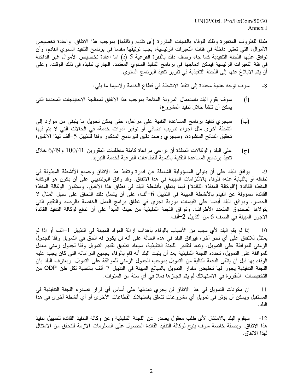طبقًا للظروف المتغيرة وذلك للوفاء بالغايات المقررة (أي تقديم وثائقها) بموجب هذا الاتفاق. واعادة تخصيص الأموال، التي تعتبر داخلة في فئات التغيرات الرئيسية، يجب توثيقها مقدما في برنامج التنفيذ السنوي القادم، وأن توافق عليها اللجنة التنفيذية كما جاء وصف ذلك بالفقرة الفرعية 5 (د) اما اعادة تخصيص الأموال غير الداخلة في فئة التغيرات الرئيسية فيمكن ادماجها في برنامج التنفيذ السنوي المعتمد، الجاري تنفيذه في ذلك الوقت، وعلى أن يتم الابلاغ عنها إلى اللجنة التنفيذية في تقرير تنفيذ البرنامج السنوي.

> سوف توجه عناية محددة إلى تنفيذ الأنشطة في قطاع الخدمة ولاسيما ما يلي: -8

- سوف يقوم البلد باستعمال المرونة المتاحة بموجب هذا الاتفاق لمعالجة الاحتياجات المحددة التبي  $(1)$ يمكن أن تتشأ خلال تنفيذ المشروع؛
- سيجري نتفيذ برنامج المساعدة التقنية على مراحل، حتى يمكن تحويل ما يتبقى من موارد إلى  $(\rightarrow)$ أنشطة أخرى مثل اجراء تدريب اضافي أو توفير أدوات خدمة، في الحالات التي لا يتم فيها تحقيق النتائج المنشودة، وسيجرى رصد دقيق للبرنامج المذكور وفقا للتذييل 5–ألف لهذا الاتفاق؛
- على البلد والوكالات المنفذة أن نراعي مراعاة كاملة متطلبات المقررين 100/41 و6/49 خلال (උ) تنفيذ بر نامج المساعدة التقنية بالنسبة للقطاعات الفر عية لخدمة التبريد.

يوافق البلد على أن يتولَّى المسؤولية الشاملة عن ادارة وتنفيذ هذا الاتفاق وجميع الأنشطة المبذولة في -9 نطاقه أو بالنيابة عنه، للوفاء بالالتزامات المبينة في هذا الاتفاق. وقد وافق اليوئنديبي على أن يكون هو الوكالة المنفذة القائدة ("الوكالة المنفذة القائدة") فيما يتعلق بأنشطة البلد في نطاق هذا الاتفاق. وستكون الوكالة المنفذة القائدة مسؤولة عن القيام بالأنشطة المبينة في التذييل 6–ألف، على أن يشمل ذلك التحقق على سبيل المثال لا الحصر . ويوافق البلد أيضا على تقييمات دورية تجري في نطاق برامج العمل الخاصة بالرصد والتقييم التي يتولاها الصندوق المتعدد الأطراف. وتوافق اللجنة التنفيذية من حيث المبدأ على أن تدفع لوكالة التنفيذ القائدة الاجور المبينة في الصف 6 من التذييل 2–ألف.

إذا لم يقم البلد لأي سبب من الأسباب بالوفاء بأهداف ازالة المواد المبينة في التذييل 1–ألف أو إذا لم  $-10$ يمتثل للاتفاق على أي نحو آخر ، فيوافق البلد في هذه الحالة على أنه لن يكون له الحق في التمويل وفقا للجدول الزمني للموافقة على التمويل. وتبعا لتقدير اللجنة التنفيذية، سيعاد تطبيق تقديم التمويل وفقا لجدول زمني معدل للموافقة على التمويل، تحدده اللجنة التنفيذية بعد أن يثبت البلد أنه قام بالوفاء بجميع التز اماته التي كان يجب عليه الوفاء بها قبل أن يتلقى الدفعة التالية من التمويل بموجب الجدول الزمني للموافقة على التمويل. ويعترف البلد بأن اللجنة التنفيذية يجوز لها تخفيض مقدار التمويل بالمبالغ المبينة في التذييل 7–ألف بالنسبة لكل طن ODP من التخفيضات المقررة في الاستهلاك لم يتم انجاز ها فعلا في أي سنة من السنوات.

ان مكونات التمويل في هذا الاتفاق لن يجري تعديلها على أساس أي قرار تصدره اللجنة التنفيذية في  $-11$ المستقبل ويمكن أن يؤثر في تمويل أي مشروعات تتعلق باستهلاك القطاعات الآخر ي أو أي أنشطة آخر ي في هذا البلد .

سيقوم البلد بالامتثال لأى طلب معقول يصدر عن اللجنة التنفيذية وعن وكالة التنفيذ القائدة لتسهيل تنفيذ  $-12$ هذا الاتفاق. وبصفة خاصة سوف يتيح لوكالة التنفيذ القائدة الحصول على المعلومات الازمة للتحقق من الامتثال لهذا الاتفاق.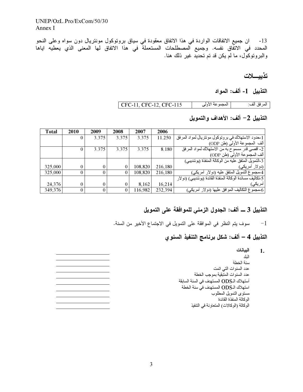$UNEP/OzL.Pro/ExCom/50/30$ Annex I

13- ان جميع الاتفاقات الواردة في هذا الاتفاق معقودة في سياق بروتوكول مونتريال دون سواه وعلى النحو المحدد في الاتفَّاق نفسه. وجميع المصطلحات المستعملة في هذا الاتفاق لها المعنى الذي يعطيه اياها والبروتوكول، ما لم يكن قد تم تحديَّد غير ذلك هنا.

تذييسلات

### التذييل 1- ألف: المواد

| المجموعة الأولى | المرفق ألف: CFC-11, CFC-12, CFC-115

التذييل 2– ألف: الأهداف والتمويل

| <b>Total</b> | 2010 | 2009  | 2008  | 2007    | 2006    |                                                           |
|--------------|------|-------|-------|---------|---------|-----------------------------------------------------------|
|              |      | 3.375 | 3.375 | 3.375   | 11.250  | [حدود الاستهلاك في بروتوكول مونتريال لمواد المرفق         |
|              |      |       |       |         |         | ألف المجموعة الأولى (طن ODP)                              |
|              | 0    | 3.375 | 3.375 | 3.375   | 8.180   | 2- أقصىي قدر مسموح به من الاستهلاك لمواد المرفق           |
|              |      |       |       |         |         | ألف المجموعة الأولى (طن ODP)                              |
|              |      |       |       |         |         | 3-التمويل المنفق عليه من الوكالة المنفذة (يوئنديبي)       |
| 325,000      |      |       | 0     | 108.820 | 216,180 | (دو لار أمريكي)                                           |
| 325,000      |      |       | 0     | 108.820 | 216.180 | 4حجموع النمويل المنفق عليه (دولار أمريكي)                 |
|              |      |       |       |         |         | 5-تكاليف مساندة الوكالة المنفذة القائدة (يوئنديبي) (دولار |
| 24,376       |      |       | 0     | 8,162   | 16,214  | آمريكي)                                                   |
| 349,376      |      |       |       | 116.982 | 232,394 | 6-مجموع النكاليف الموافق عليها (دولار                     |

### التذييل 3 ــــ ألف: الجدول الزمني للموافقة على التمويل

سوف يتم النظر في الموافقة على التمويل في الاجتماع الأخير من السنة.  $-1$ 

### التذييل 4 – ألف: شكل برنامج التنفيذ السنو ي

البيانات <sup>1.</sup> البلد سنة الخطة عدد السنوات التي اتمت عدد السنوات المتبقية بموجب الخطة أستهلاك الـODS المستهدف في السنة السابقة استهلاك الـODS المستهدف في سنة الخطة مستوى التمويل المطلوب الوكالة المنفذة القائدة الوكالة (الوكالات) المتعاونة في التنفيذ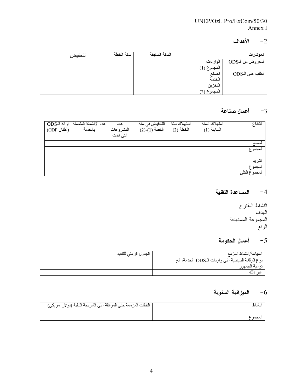### UNEP/OzL.Pro/ExCom/50/30 Annex I

### $-2$ الأهداف

| التخفيض | سنة الخطة | السنة السابقة |             | المؤشرات          |
|---------|-----------|---------------|-------------|-------------------|
|         |           |               | الواردات    | المعروض من الـODS |
|         |           |               | المجموع (1) |                   |
|         |           |               | لصنع        | الطلب على الـODS  |
|         |           |               | الخدمة      |                   |
|         |           |               | التخزين     |                   |
|         |           |               | المجموع (2) |                   |

### 3- أعمال صناعة

| عدد الأنشطة المتصلة   از الة الـODS  <br>  بالخدمة                 (أطنان ODP) | عدد<br>المشروعات<br>التي اتمت | النخفيض في سنة<br>الخطة (1)-(2) | استهلاك سنة<br>الخطة (2) | استهلاك السنة<br>السابقة (1) | القطاع        |
|--------------------------------------------------------------------------------|-------------------------------|---------------------------------|--------------------------|------------------------------|---------------|
|                                                                                |                               |                                 |                          |                              | لصنع          |
|                                                                                |                               |                                 |                          |                              | المجموع       |
|                                                                                |                               |                                 |                          |                              |               |
|                                                                                |                               |                                 |                          |                              | النبر بد      |
|                                                                                |                               |                                 |                          |                              | المجموع       |
|                                                                                |                               |                                 |                          |                              | المجموع الكله |

### 4- المساعدة التقنية

النشاط المقترح الهدف ه<br>المجموعة المستهدفة الوقع

### أعمال الحكومة $-5$

| الجدول الزمني للتنفيذ | السياسة/النشاط المزمع                               |
|-----------------------|-----------------------------------------------------|
|                       | نوع الرقابة السياسية على واردات الـODS: الخدمة، الخ |
|                       | توعية الجمهور                                       |
|                       |                                                     |

### 6– الميزانية السنوية

| النفقات المزمعة حتى الموافقة على<br>اأالمصا<br>ेगा<br>سريئي | لنشاط |
|-------------------------------------------------------------|-------|
|                                                             |       |
|                                                             |       |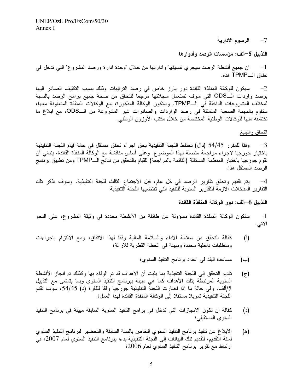7– الرسوم الادارية

التذييل 5–ألف: مؤسسات الرصد وأدوارها

ان جميع أنشطة الرصد سيجري تتسيقها وادارتها من خلال "وحدة ادارة ورصد المشروع" التي تدخل في  $-1$ نطاق الــTPMP هذه.

سيكون للوكالة المنفذة القائدة دور بارز خاص في رصد الترتيبات وذلك بسبب التكليف الصادر اليها  $-2$ برصد واردات الــODS التي سوف تستعمل سجلاتها مرجعا للتحقق من صحة جميع برامج الرصد بالنسبة لمختلف المشروعات الداخلة في الــTPMP. وستكون الوكالة المذكورة، مع الوكالات المنفذة المتعاونة معها، ستقوم بالمهمة الصعبة المتمثلة في رصد الواردات والصادرات غير المشروعة من الـODS، مع ابلاغ ما تكتشفه منها للوكالات الوطنية المختصة من خلال مكتب الأوزون الوطني.

#### التحقق والتبليغ

3− وفقا للمقرر 54/45 (دال) تحتفظ اللجنة التنفيذية بحق اجراء تحقق مستقل في حالة قيام اللجنة التنفيذية باختيار جورجيا لاجراء مراجعة متصلة بهذا الموضوع. وعلى أساس مناقشة مع الوكالة المنفذة القائدة، ينبغي أن تقوم جورجيا باختيار المنظمة المستقلة (القائمة بالمراجعة) للقيام بالتحقق من نتائج الــTPMP ومن تطبيق برنامج الر صد المستقل هذا.

يتم تقديم وتحقق تقارير الرصد في كل عام، فبل الاجتماع الثالث للجنة التنفيذية. وسوف تذكر تلك  $-4$ التقارير المدخلات الازمة للتقارير السنوية للتنفيذ التي تقتضيها اللجنة التنفيذية.

التذييل 6–ألف: دور الوكالة المنفذة القائدة

ستكون الوكالة المنفذة القائدة مسؤولة عن طائفة من الأنشطة محددة في وثيقة المشروع، على النحو  $-1$ الأتي:

- كفالة التحقق من سلامة الأداء والسلامة المالية وفقا لمهذا الاتفاق، ومع الالتزام باجراءات  $(\mathfrak{h})$ ومتطلبات داخلية محددة ومبينة في الخطة القطرية للاز الة؛
	- مساعدة البلد في اعداد برنامج التنفيذ السنوى؛  $(\rightarrow)$
- تقديم التحقق إلى اللجنة التنفيذية بما يثبت أن الأهداف قد تم الوفاء بها وكذلك تم انجاز الأنشطة  $(z)$ السنوية المرتبطة بتلك الأهداف كما هي مبينة ببرنامج التنفيذ السنوي وبما يتمشى مع التذييل 5/ألف. وفي حالة ما اذا اختارت اللجنة التنفيذية جورجيا وفقا للفقرة (د) 54/45، سوف تقدم اللجنة التنفيذية تمويلا مستقلا إلى الوكالة المنفذة القائدة لهذا العمل؛
- كفالة ان تكون الانجازات التي تدخل في برامج التنفيذ السنوية السابقة مبينة في برنامج التنفيذ  $(\iota)$ السنوى المستقبلي؛
- الابلاغ عن تنفيذ برنامج التنفيذ السنوي الخاص بالسنة السابقة والتحضير لبرنامج التنفيذ السنوي (ه) لسنة التقديم، لتقديم تلك البيانات إلى اللجنة التنفيذية بدءا ببرنامج التنفيذ السنوي لعام 2007، في ارتباط مع تقرير برنامج التنفيذ السنوي لعام 2006؛